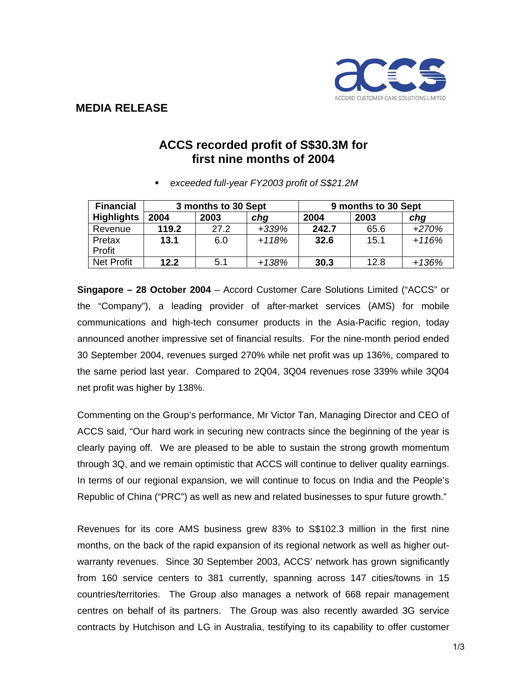

## **MEDIA RELEASE**

# **ACCS recorded profit of S\$30.3M for first nine months of 2004**

*exceeded full-year FY2003 profit of S\$21.2M*

| <b>Financial</b>  | 3 months to 30 Sept |      |         | 9 months to 30 Sept |      |         |
|-------------------|---------------------|------|---------|---------------------|------|---------|
| <b>Highlights</b> | 2004                | 2003 | chg     | 2004                | 2003 | chg     |
| Revenue           | 119.2               | 27.2 | +339%   | 242.7               | 65.6 | +270%   |
| Pretax            | 13.1                | 6.0  | $+118%$ | 32.6                | 15.1 | $+116%$ |
| Profit            |                     |      |         |                     |      |         |
| <b>Net Profit</b> | 12.2                | 5.1  | $+138%$ | 30.3                | 12.8 | $+136%$ |

**Singapore – 28 October 2004** – Accord Customer Care Solutions Limited ("ACCS" or the "Company"), a leading provider of after-market services (AMS) for mobile communications and high-tech consumer products in the Asia-Pacific region, today announced another impressive set of financial results. For the nine-month period ended 30 September 2004, revenues surged 270% while net profit was up 136%, compared to the same period last year. Compared to 2Q04, 3Q04 revenues rose 339% while 3Q04 net profit was higher by 138%.

Commenting on the Group's performance, Mr Victor Tan, Managing Director and CEO of ACCS said, "Our hard work in securing new contracts since the beginning of the year is clearly paying off. We are pleased to be able to sustain the strong growth momentum through 3Q, and we remain optimistic that ACCS will continue to deliver quality earnings. In terms of our regional expansion, we will continue to focus on India and the People's Republic of China ("PRC") as well as new and related businesses to spur future growth."

Revenues for its core AMS business grew 83% to S\$102.3 million in the first nine months, on the back of the rapid expansion of its regional network as well as higher outwarranty revenues. Since 30 September 2003, ACCS' network has grown significantly from 160 service centers to 381 currently, spanning across 147 cities/towns in 15 countries/territories. The Group also manages a network of 668 repair management centres on behalf of its partners. The Group was also recently awarded 3G service contracts by Hutchison and LG in Australia, testifying to its capability to offer customer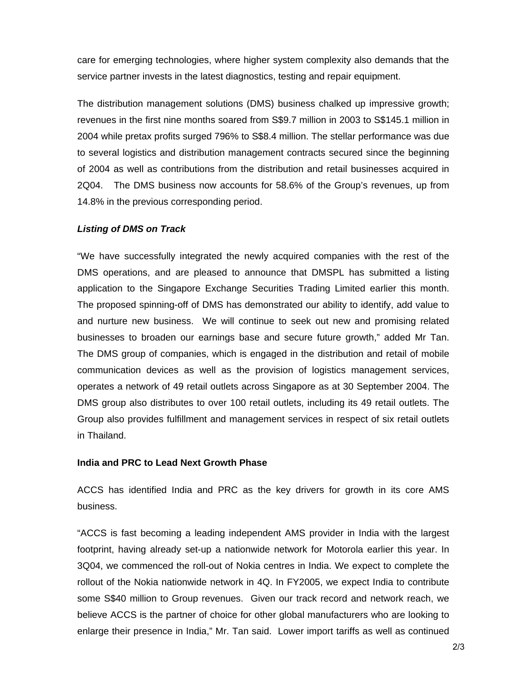care for emerging technologies, where higher system complexity also demands that the service partner invests in the latest diagnostics, testing and repair equipment.

The distribution management solutions (DMS) business chalked up impressive growth; revenues in the first nine months soared from S\$9.7 million in 2003 to S\$145.1 million in 2004 while pretax profits surged 796% to S\$8.4 million. The stellar performance was due to several logistics and distribution management contracts secured since the beginning of 2004 as well as contributions from the distribution and retail businesses acquired in 2Q04. The DMS business now accounts for 58.6% of the Group's revenues, up from 14.8% in the previous corresponding period.

### *Listing of DMS on Track*

"We have successfully integrated the newly acquired companies with the rest of the DMS operations, and are pleased to announce that DMSPL has submitted a listing application to the Singapore Exchange Securities Trading Limited earlier this month. The proposed spinning-off of DMS has demonstrated our ability to identify, add value to and nurture new business. We will continue to seek out new and promising related businesses to broaden our earnings base and secure future growth," added Mr Tan. The DMS group of companies, which is engaged in the distribution and retail of mobile communication devices as well as the provision of logistics management services, operates a network of 49 retail outlets across Singapore as at 30 September 2004. The DMS group also distributes to over 100 retail outlets, including its 49 retail outlets. The Group also provides fulfillment and management services in respect of six retail outlets in Thailand.

#### **India and PRC to Lead Next Growth Phase**

ACCS has identified India and PRC as the key drivers for growth in its core AMS business.

"ACCS is fast becoming a leading independent AMS provider in India with the largest footprint, having already set-up a nationwide network for Motorola earlier this year. In 3Q04, we commenced the roll-out of Nokia centres in India. We expect to complete the rollout of the Nokia nationwide network in 4Q. In FY2005, we expect India to contribute some S\$40 million to Group revenues. Given our track record and network reach, we believe ACCS is the partner of choice for other global manufacturers who are looking to enlarge their presence in India," Mr. Tan said. Lower import tariffs as well as continued